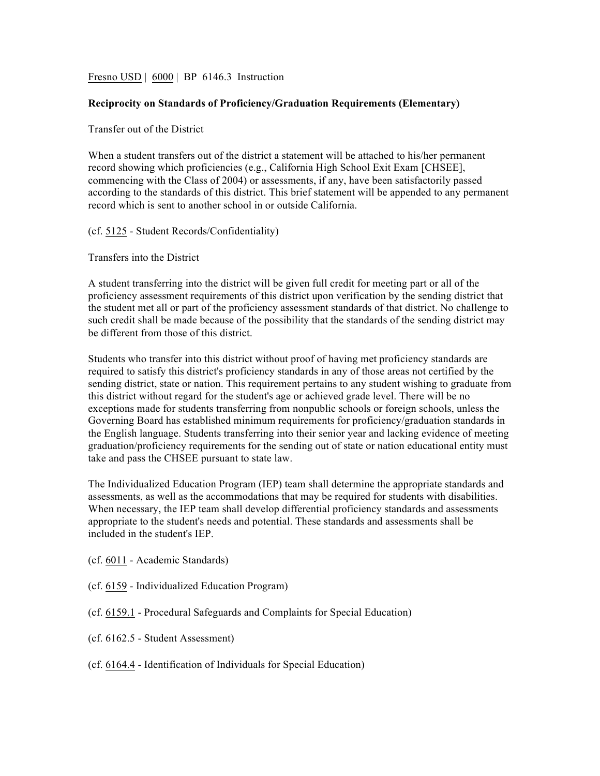Fresno USD | 6000 | BP 6146.3 Instruction

## **Reciprocity on Standards of Proficiency/Graduation Requirements (Elementary)**

## Transfer out of the District

When a student transfers out of the district a statement will be attached to his/her permanent record showing which proficiencies (e.g., California High School Exit Exam [CHSEE], commencing with the Class of 2004) or assessments, if any, have been satisfactorily passed according to the standards of this district. This brief statement will be appended to any permanent record which is sent to another school in or outside California.

## (cf. 5125 - Student Records/Confidentiality)

Transfers into the District

A student transferring into the district will be given full credit for meeting part or all of the proficiency assessment requirements of this district upon verification by the sending district that the student met all or part of the proficiency assessment standards of that district. No challenge to such credit shall be made because of the possibility that the standards of the sending district may be different from those of this district.

Students who transfer into this district without proof of having met proficiency standards are required to satisfy this district's proficiency standards in any of those areas not certified by the sending district, state or nation. This requirement pertains to any student wishing to graduate from this district without regard for the student's age or achieved grade level. There will be no exceptions made for students transferring from nonpublic schools or foreign schools, unless the Governing Board has established minimum requirements for proficiency/graduation standards in the English language. Students transferring into their senior year and lacking evidence of meeting graduation/proficiency requirements for the sending out of state or nation educational entity must take and pass the CHSEE pursuant to state law.

The Individualized Education Program (IEP) team shall determine the appropriate standards and assessments, as well as the accommodations that may be required for students with disabilities. When necessary, the IEP team shall develop differential proficiency standards and assessments appropriate to the student's needs and potential. These standards and assessments shall be included in the student's IEP.

(cf. 6011 - Academic Standards)

- (cf. 6159 Individualized Education Program)
- (cf. 6159.1 Procedural Safeguards and Complaints for Special Education)
- (cf. 6162.5 Student Assessment)
- (cf. 6164.4 Identification of Individuals for Special Education)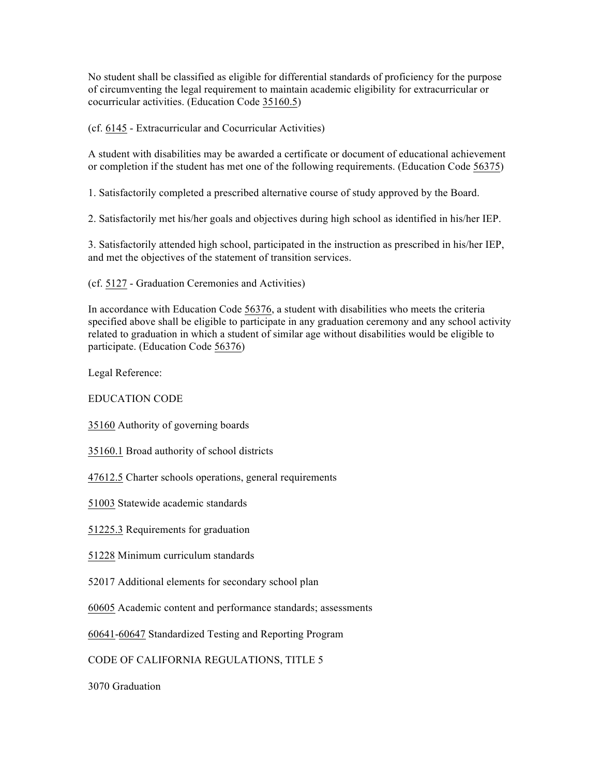No student shall be classified as eligible for differential standards of proficiency for the purpose of circumventing the legal requirement to maintain academic eligibility for extracurricular or cocurricular activities. (Education Code 35160.5)

(cf. 6145 - Extracurricular and Cocurricular Activities)

A student with disabilities may be awarded a certificate or document of educational achievement or completion if the student has met one of the following requirements. (Education Code 56375)

1. Satisfactorily completed a prescribed alternative course of study approved by the Board.

2. Satisfactorily met his/her goals and objectives during high school as identified in his/her IEP.

3. Satisfactorily attended high school, participated in the instruction as prescribed in his/her IEP, and met the objectives of the statement of transition services.

(cf. 5127 - Graduation Ceremonies and Activities)

In accordance with Education Code 56376, a student with disabilities who meets the criteria specified above shall be eligible to participate in any graduation ceremony and any school activity related to graduation in which a student of similar age without disabilities would be eligible to participate. (Education Code 56376)

Legal Reference:

EDUCATION CODE

35160 Authority of governing boards

35160.1 Broad authority of school districts

47612.5 Charter schools operations, general requirements

51003 Statewide academic standards

51225.3 Requirements for graduation

51228 Minimum curriculum standards

52017 Additional elements for secondary school plan

60605 Academic content and performance standards; assessments

60641-60647 Standardized Testing and Reporting Program

CODE OF CALIFORNIA REGULATIONS, TITLE 5

3070 Graduation